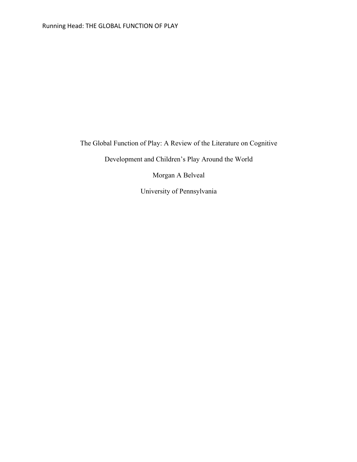The Global Function of Play: A Review of the Literature on Cognitive

Development and Children's Play Around the World

Morgan A Belveal

University of Pennsylvania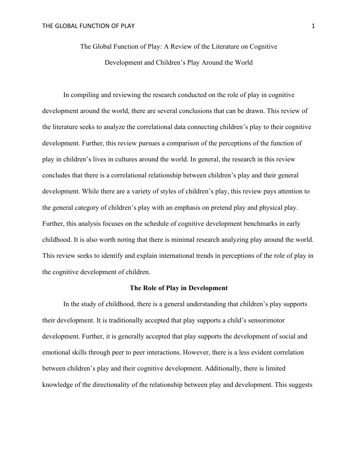The Global Function of Play: A Review of the Literature on Cognitive Development and Children's Play Around the World

In compiling and reviewing the research conducted on the role of play in cognitive development around the world, there are several conclusions that can be drawn. This review of the literature seeks to analyze the correlational data connecting children's play to their cognitive development. Further, this review pursues a comparison of the perceptions of the function of play in children's lives in cultures around the world. In general, the research in this review concludes that there is a correlational relationship between children's play and their general development. While there are a variety of styles of children's play, this review pays attention to the general category of children's play with an emphasis on pretend play and physical play. Further, this analysis focuses on the schedule of cognitive development benchmarks in early childhood. It is also worth noting that there is minimal research analyzing play around the world. This review seeks to identify and explain international trends in perceptions of the role of play in the cognitive development of children.

### **The Role of Play in Development**

In the study of childhood, there is a general understanding that children's play supports their development. It is traditionally accepted that play supports a child's sensorimotor development. Further, it is generally accepted that play supports the development of social and emotional skills through peer to peer interactions. However, there is a less evident correlation between children's play and their cognitive development. Additionally, there is limited knowledge of the directionality of the relationship between play and development. This suggests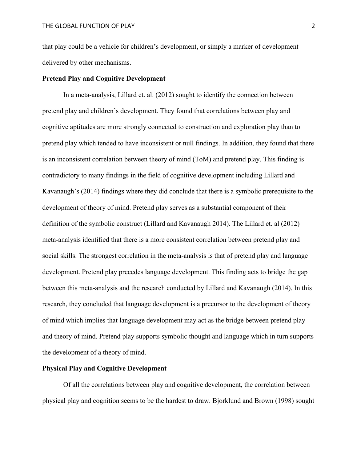that play could be a vehicle for children's development, or simply a marker of development delivered by other mechanisms.

## **Pretend Play and Cognitive Development**

In a meta-analysis, Lillard et. al. (2012) sought to identify the connection between pretend play and children's development. They found that correlations between play and cognitive aptitudes are more strongly connected to construction and exploration play than to pretend play which tended to have inconsistent or null findings. In addition, they found that there is an inconsistent correlation between theory of mind (ToM) and pretend play. This finding is contradictory to many findings in the field of cognitive development including Lillard and Kavanaugh's (2014) findings where they did conclude that there is a symbolic prerequisite to the development of theory of mind. Pretend play serves as a substantial component of their definition of the symbolic construct (Lillard and Kavanaugh 2014). The Lillard et. al (2012) meta-analysis identified that there is a more consistent correlation between pretend play and social skills. The strongest correlation in the meta-analysis is that of pretend play and language development. Pretend play precedes language development. This finding acts to bridge the gap between this meta-analysis and the research conducted by Lillard and Kavanaugh (2014). In this research, they concluded that language development is a precursor to the development of theory of mind which implies that language development may act as the bridge between pretend play and theory of mind. Pretend play supports symbolic thought and language which in turn supports the development of a theory of mind.

# **Physical Play and Cognitive Development**

Of all the correlations between play and cognitive development, the correlation between physical play and cognition seems to be the hardest to draw. Bjorklund and Brown (1998) sought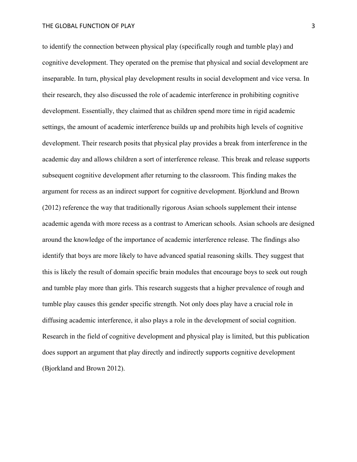### THE GLOBAL FUNCTION OF PLAY 3

to identify the connection between physical play (specifically rough and tumble play) and cognitive development. They operated on the premise that physical and social development are inseparable. In turn, physical play development results in social development and vice versa. In their research, they also discussed the role of academic interference in prohibiting cognitive development. Essentially, they claimed that as children spend more time in rigid academic settings, the amount of academic interference builds up and prohibits high levels of cognitive development. Their research posits that physical play provides a break from interference in the academic day and allows children a sort of interference release. This break and release supports subsequent cognitive development after returning to the classroom. This finding makes the argument for recess as an indirect support for cognitive development. Bjorklund and Brown (2012) reference the way that traditionally rigorous Asian schools supplement their intense academic agenda with more recess as a contrast to American schools. Asian schools are designed around the knowledge of the importance of academic interference release. The findings also identify that boys are more likely to have advanced spatial reasoning skills. They suggest that this is likely the result of domain specific brain modules that encourage boys to seek out rough and tumble play more than girls. This research suggests that a higher prevalence of rough and tumble play causes this gender specific strength. Not only does play have a crucial role in diffusing academic interference, it also plays a role in the development of social cognition. Research in the field of cognitive development and physical play is limited, but this publication does support an argument that play directly and indirectly supports cognitive development (Bjorkland and Brown 2012).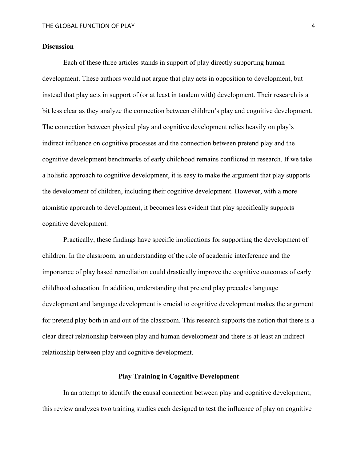## **Discussion**

Each of these three articles stands in support of play directly supporting human development. These authors would not argue that play acts in opposition to development, but instead that play acts in support of (or at least in tandem with) development. Their research is a bit less clear as they analyze the connection between children's play and cognitive development. The connection between physical play and cognitive development relies heavily on play's indirect influence on cognitive processes and the connection between pretend play and the cognitive development benchmarks of early childhood remains conflicted in research. If we take a holistic approach to cognitive development, it is easy to make the argument that play supports the development of children, including their cognitive development. However, with a more atomistic approach to development, it becomes less evident that play specifically supports cognitive development.

Practically, these findings have specific implications for supporting the development of children. In the classroom, an understanding of the role of academic interference and the importance of play based remediation could drastically improve the cognitive outcomes of early childhood education. In addition, understanding that pretend play precedes language development and language development is crucial to cognitive development makes the argument for pretend play both in and out of the classroom. This research supports the notion that there is a clear direct relationship between play and human development and there is at least an indirect relationship between play and cognitive development.

# **Play Training in Cognitive Development**

In an attempt to identify the causal connection between play and cognitive development, this review analyzes two training studies each designed to test the influence of play on cognitive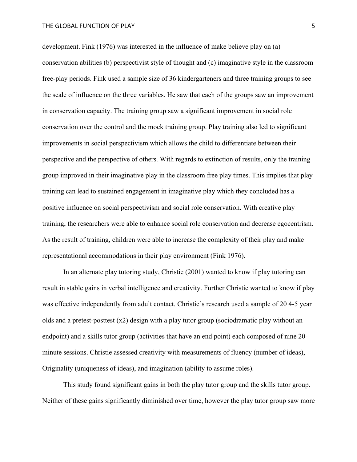#### THE GLOBAL FUNCTION OF PLAY **FUNCTION** OF  $\frac{1}{5}$

development. Fink (1976) was interested in the influence of make believe play on (a) conservation abilities (b) perspectivist style of thought and (c) imaginative style in the classroom free-play periods. Fink used a sample size of 36 kindergarteners and three training groups to see the scale of influence on the three variables. He saw that each of the groups saw an improvement in conservation capacity. The training group saw a significant improvement in social role conservation over the control and the mock training group. Play training also led to significant improvements in social perspectivism which allows the child to differentiate between their perspective and the perspective of others. With regards to extinction of results, only the training group improved in their imaginative play in the classroom free play times. This implies that play training can lead to sustained engagement in imaginative play which they concluded has a positive influence on social perspectivism and social role conservation. With creative play training, the researchers were able to enhance social role conservation and decrease egocentrism. As the result of training, children were able to increase the complexity of their play and make representational accommodations in their play environment (Fink 1976).

In an alternate play tutoring study, Christie (2001) wanted to know if play tutoring can result in stable gains in verbal intelligence and creativity. Further Christie wanted to know if play was effective independently from adult contact. Christie's research used a sample of 20 4-5 year olds and a pretest-posttest  $(x2)$  design with a play tutor group (sociodramatic play without an endpoint) and a skills tutor group (activities that have an end point) each composed of nine 20 minute sessions. Christie assessed creativity with measurements of fluency (number of ideas), Originality (uniqueness of ideas), and imagination (ability to assume roles).

This study found significant gains in both the play tutor group and the skills tutor group. Neither of these gains significantly diminished over time, however the play tutor group saw more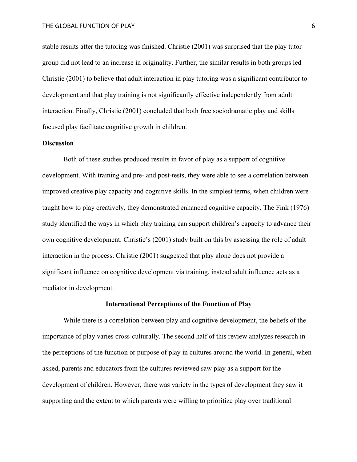stable results after the tutoring was finished. Christie (2001) was surprised that the play tutor group did not lead to an increase in originality. Further, the similar results in both groups led Christie (2001) to believe that adult interaction in play tutoring was a significant contributor to development and that play training is not significantly effective independently from adult interaction. Finally, Christie (2001) concluded that both free sociodramatic play and skills focused play facilitate cognitive growth in children.

# **Discussion**

Both of these studies produced results in favor of play as a support of cognitive development. With training and pre- and post-tests, they were able to see a correlation between improved creative play capacity and cognitive skills. In the simplest terms, when children were taught how to play creatively, they demonstrated enhanced cognitive capacity. The Fink (1976) study identified the ways in which play training can support children's capacity to advance their own cognitive development. Christie's (2001) study built on this by assessing the role of adult interaction in the process. Christie (2001) suggested that play alone does not provide a significant influence on cognitive development via training, instead adult influence acts as a mediator in development.

### **International Perceptions of the Function of Play**

While there is a correlation between play and cognitive development, the beliefs of the importance of play varies cross-culturally. The second half of this review analyzes research in the perceptions of the function or purpose of play in cultures around the world. In general, when asked, parents and educators from the cultures reviewed saw play as a support for the development of children. However, there was variety in the types of development they saw it supporting and the extent to which parents were willing to prioritize play over traditional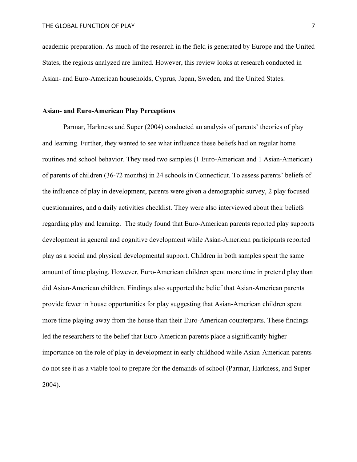academic preparation. As much of the research in the field is generated by Europe and the United States, the regions analyzed are limited. However, this review looks at research conducted in Asian- and Euro-American households, Cyprus, Japan, Sweden, and the United States.

## **Asian- and Euro-American Play Perceptions**

Parmar, Harkness and Super (2004) conducted an analysis of parents' theories of play and learning. Further, they wanted to see what influence these beliefs had on regular home routines and school behavior. They used two samples (1 Euro-American and 1 Asian-American) of parents of children (36-72 months) in 24 schools in Connecticut. To assess parents' beliefs of the influence of play in development, parents were given a demographic survey, 2 play focused questionnaires, and a daily activities checklist. They were also interviewed about their beliefs regarding play and learning. The study found that Euro-American parents reported play supports development in general and cognitive development while Asian-American participants reported play as a social and physical developmental support. Children in both samples spent the same amount of time playing. However, Euro-American children spent more time in pretend play than did Asian-American children. Findings also supported the belief that Asian-American parents provide fewer in house opportunities for play suggesting that Asian-American children spent more time playing away from the house than their Euro-American counterparts. These findings led the researchers to the belief that Euro-American parents place a significantly higher importance on the role of play in development in early childhood while Asian-American parents do not see it as a viable tool to prepare for the demands of school (Parmar, Harkness, and Super 2004).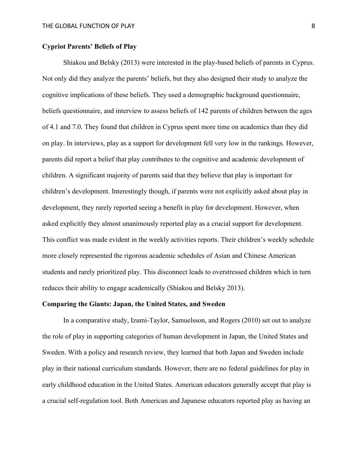# **Cypriot Parents' Beliefs of Play**

Shiakou and Belsky (2013) were interested in the play-based beliefs of parents in Cyprus. Not only did they analyze the parents' beliefs, but they also designed their study to analyze the cognitive implications of these beliefs. They used a demographic background questionnaire, beliefs questionnaire, and interview to assess beliefs of 142 parents of children between the ages of 4.1 and 7.0. They found that children in Cyprus spent more time on academics than they did on play. In interviews, play as a support for development fell very low in the rankings. However, parents did report a belief that play contributes to the cognitive and academic development of children. A significant majority of parents said that they believe that play is important for children's development. Interestingly though, if parents were not explicitly asked about play in development, they rarely reported seeing a benefit in play for development. However, when asked explicitly they almost unanimously reported play as a crucial support for development. This conflict was made evident in the weekly activities reports. Their children's weekly schedule more closely represented the rigorous academic schedules of Asian and Chinese American students and rarely prioritized play. This disconnect leads to overstressed children which in turn reduces their ability to engage academically (Shiakou and Belsky 2013).

## **Comparing the Giants: Japan, the United States, and Sweden**

In a comparative study, Izumi-Taylor, Samuelsson, and Rogers (2010) set out to analyze the role of play in supporting categories of human development in Japan, the United States and Sweden. With a policy and research review, they learned that both Japan and Sweden include play in their national curriculum standards. However, there are no federal guidelines for play in early childhood education in the United States. American educators generally accept that play is a crucial self-regulation tool. Both American and Japanese educators reported play as having an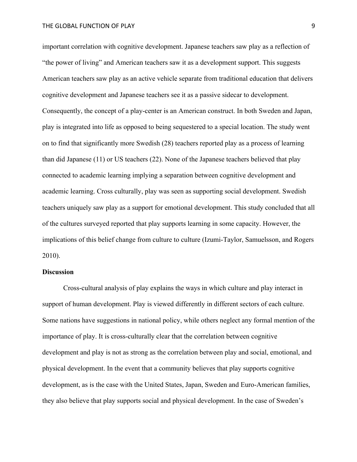important correlation with cognitive development. Japanese teachers saw play as a reflection of "the power of living" and American teachers saw it as a development support. This suggests American teachers saw play as an active vehicle separate from traditional education that delivers cognitive development and Japanese teachers see it as a passive sidecar to development. Consequently, the concept of a play-center is an American construct. In both Sweden and Japan, play is integrated into life as opposed to being sequestered to a special location. The study went on to find that significantly more Swedish (28) teachers reported play as a process of learning than did Japanese (11) or US teachers (22). None of the Japanese teachers believed that play connected to academic learning implying a separation between cognitive development and academic learning. Cross culturally, play was seen as supporting social development. Swedish teachers uniquely saw play as a support for emotional development. This study concluded that all of the cultures surveyed reported that play supports learning in some capacity. However, the implications of this belief change from culture to culture (Izumi-Taylor, Samuelsson, and Rogers 2010).

## **Discussion**

Cross-cultural analysis of play explains the ways in which culture and play interact in support of human development. Play is viewed differently in different sectors of each culture. Some nations have suggestions in national policy, while others neglect any formal mention of the importance of play. It is cross-culturally clear that the correlation between cognitive development and play is not as strong as the correlation between play and social, emotional, and physical development. In the event that a community believes that play supports cognitive development, as is the case with the United States, Japan, Sweden and Euro-American families, they also believe that play supports social and physical development. In the case of Sweden's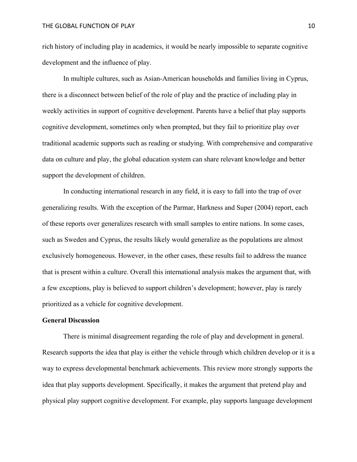rich history of including play in academics, it would be nearly impossible to separate cognitive development and the influence of play.

In multiple cultures, such as Asian-American households and families living in Cyprus, there is a disconnect between belief of the role of play and the practice of including play in weekly activities in support of cognitive development. Parents have a belief that play supports cognitive development, sometimes only when prompted, but they fail to prioritize play over traditional academic supports such as reading or studying. With comprehensive and comparative data on culture and play, the global education system can share relevant knowledge and better support the development of children.

In conducting international research in any field, it is easy to fall into the trap of over generalizing results. With the exception of the Parmar, Harkness and Super (2004) report, each of these reports over generalizes research with small samples to entire nations. In some cases, such as Sweden and Cyprus, the results likely would generalize as the populations are almost exclusively homogeneous. However, in the other cases, these results fail to address the nuance that is present within a culture. Overall this international analysis makes the argument that, with a few exceptions, play is believed to support children's development; however, play is rarely prioritized as a vehicle for cognitive development.

### **General Discussion**

There is minimal disagreement regarding the role of play and development in general. Research supports the idea that play is either the vehicle through which children develop or it is a way to express developmental benchmark achievements. This review more strongly supports the idea that play supports development. Specifically, it makes the argument that pretend play and physical play support cognitive development. For example, play supports language development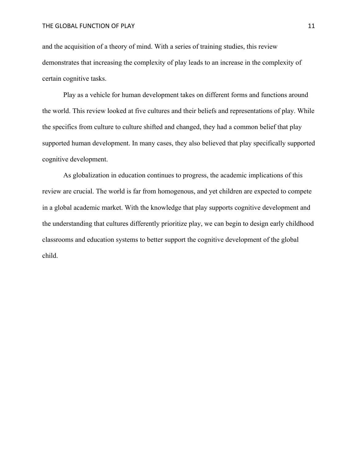and the acquisition of a theory of mind. With a series of training studies, this review demonstrates that increasing the complexity of play leads to an increase in the complexity of certain cognitive tasks.

Play as a vehicle for human development takes on different forms and functions around the world. This review looked at five cultures and their beliefs and representations of play. While the specifics from culture to culture shifted and changed, they had a common belief that play supported human development. In many cases, they also believed that play specifically supported cognitive development.

As globalization in education continues to progress, the academic implications of this review are crucial. The world is far from homogenous, and yet children are expected to compete in a global academic market. With the knowledge that play supports cognitive development and the understanding that cultures differently prioritize play, we can begin to design early childhood classrooms and education systems to better support the cognitive development of the global child.